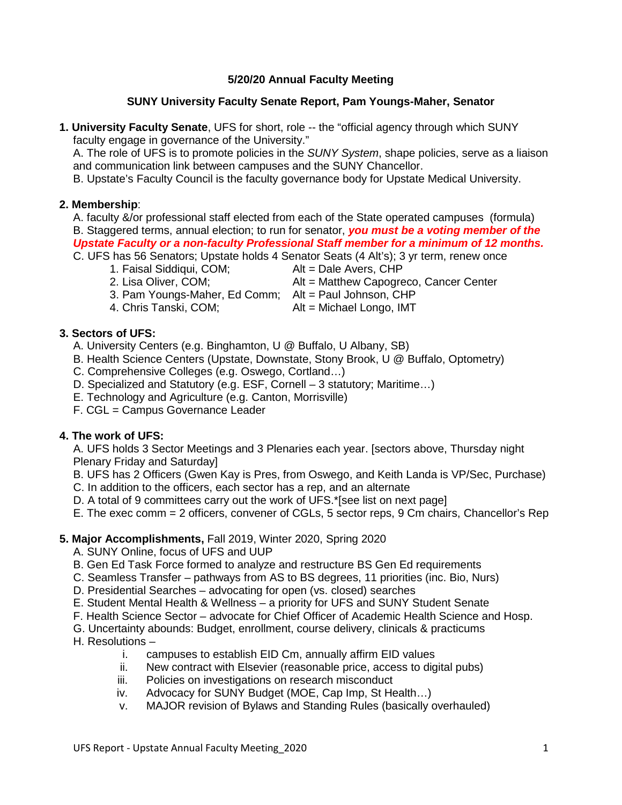# **5/20/20 Annual Faculty Meeting**

#### **SUNY University Faculty Senate Report, Pam Youngs-Maher, Senator**

**1. University Faculty Senate**, UFS for short, role -- the "official agency through which SUNY faculty engage in governance of the University."

A. The role of UFS is to promote policies in the *SUNY System*, shape policies, serve as a liaison and communication link between campuses and the SUNY Chancellor.

B. Upstate's Faculty Council is the faculty governance body for Upstate Medical University.

#### **2. Membership**:

A. faculty &/or professional staff elected from each of the State operated campuses (formula) B. Staggered terms, annual election; to run for senator, *you must be a voting member of the Upstate Faculty or a non-faculty Professional Staff member for a minimum of 12 months.*

C. UFS has 56 Senators; Upstate holds 4 Senator Seats (4 Alt's); 3 yr term, renew once

- 1. Faisal Siddiqui, COM; Alt = Dale Avers, CHP
	-
- 
- 2. Lisa Oliver, COM; Alt = Matthew Capogreco, Cancer Center
- 3. Pam Youngs-Maher, Ed Comm; Alt = Paul Johnson, CHP<br>4. Chris Tanski, COM; Alt = Michael Longo, IMT
- 

 $Alt = Michael Longo, IMT$ 

### **3. Sectors of UFS:**

- A. University Centers (e.g. Binghamton, U @ Buffalo, U Albany, SB)
- B. Health Science Centers (Upstate, Downstate, Stony Brook, U @ Buffalo, Optometry)
- C. Comprehensive Colleges (e.g. Oswego, Cortland…)
- D. Specialized and Statutory (e.g. ESF, Cornell 3 statutory; Maritime…)
- E. Technology and Agriculture (e.g. Canton, Morrisville)
- F. CGL = Campus Governance Leader

### **4. The work of UFS:**

A. UFS holds 3 Sector Meetings and 3 Plenaries each year. [sectors above, Thursday night Plenary Friday and Saturday]

B. UFS has 2 Officers (Gwen Kay is Pres, from Oswego, and Keith Landa is VP/Sec, Purchase)

- C. In addition to the officers, each sector has a rep, and an alternate
- D. A total of 9 committees carry out the work of UFS.\*[see list on next page]
- E. The exec comm = 2 officers, convener of CGLs, 5 sector reps, 9 Cm chairs, Chancellor's Rep

### **5. Major Accomplishments,** Fall 2019, Winter 2020, Spring 2020

- A. SUNY Online, focus of UFS and UUP
- B. Gen Ed Task Force formed to analyze and restructure BS Gen Ed requirements
- C. Seamless Transfer pathways from AS to BS degrees, 11 priorities (inc. Bio, Nurs)
- D. Presidential Searches advocating for open (vs. closed) searches
- E. Student Mental Health & Wellness a priority for UFS and SUNY Student Senate
- F. Health Science Sector advocate for Chief Officer of Academic Health Science and Hosp.
- G. Uncertainty abounds: Budget, enrollment, course delivery, clinicals & practicums
- H. Resolutions
	- i. campuses to establish EID Cm, annually affirm EID values ii. New contract with Elsevier (reasonable price, access to dig
	- New contract with Elsevier (reasonable price, access to digital pubs)
	- iii. Policies on investigations on research misconduct
	- iv. Advocacy for SUNY Budget (MOE, Cap Imp, St Health…)
	- v. MAJOR revision of Bylaws and Standing Rules (basically overhauled)